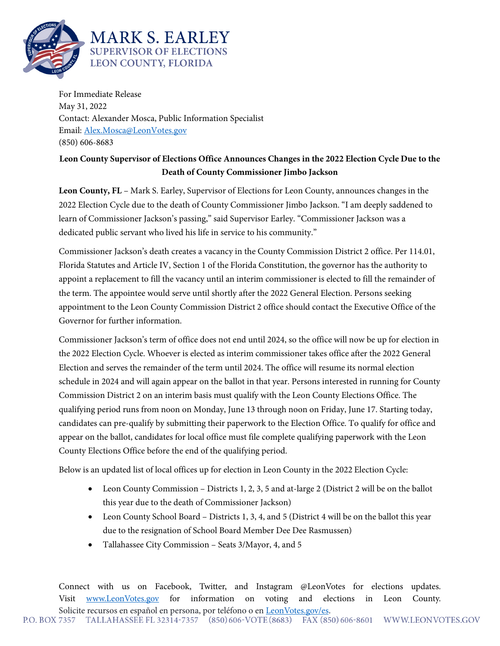

For Immediate Release May 31, 2022 Contact: Alexander Mosca, Public Information Specialist Email: [Alex.Mosca@LeonVotes.gov](mailto:Alex.Mosca@LeonVotes.gov) (850) 606-8683

## **Leon County Supervisor of Elections Office Announces Changes in the 2022 Election Cycle Due to the Death of County Commissioner Jimbo Jackson**

**Leon County, FL** – Mark S. Earley, Supervisor of Elections for Leon County, announces changes in the 2022 Election Cycle due to the death of County Commissioner Jimbo Jackson. "I am deeply saddened to learn of Commissioner Jackson's passing," said Supervisor Earley. "Commissioner Jackson was a dedicated public servant who lived his life in service to his community."

Commissioner Jackson's death creates a vacancy in the County Commission District 2 office. Per 114.01, Florida Statutes and Article IV, Section 1 of the Florida Constitution, the governor has the authority to appoint a replacement to fill the vacancy until an interim commissioner is elected to fill the remainder of the term. The appointee would serve until shortly after the 2022 General Election. Persons seeking appointment to the Leon County Commission District 2 office should contact the Executive Office of the Governor for further information.

Commissioner Jackson's term of office does not end until 2024, so the office will now be up for election in the 2022 Election Cycle. Whoever is elected as interim commissioner takes office after the 2022 General Election and serves the remainder of the term until 2024. The office will resume its normal election schedule in 2024 and will again appear on the ballot in that year. Persons interested in running for County Commission District 2 on an interim basis must qualify with the Leon County Elections Office. The qualifying period runs from noon on Monday, June 13 through noon on Friday, June 17. Starting today, candidates can pre-qualify by submitting their paperwork to the Election Office. To qualify for office and appear on the ballot, candidates for local office must file complete qualifying paperwork with the Leon County Elections Office before the end of the qualifying period.

Below is an updated list of local offices up for election in Leon County in the 2022 Election Cycle:

- Leon County Commission Districts 1, 2, 3, 5 and at-large 2 (District 2 will be on the ballot this year due to the death of Commissioner Jackson)
- Leon County School Board Districts 1, 3, 4, and 5 (District 4 will be on the ballot this year due to the resignation of School Board Member Dee Dee Rasmussen)
- Tallahassee City Commission Seats 3/Mayor, 4, and 5

Connect with us on Facebook, Twitter, and Instagram @LeonVotes for elections updates. Visit [www.LeonVotes.gov](http://www.leonvotes.gov/) for information on voting and elections in Leon County. Solicite recursos en español en persona, por teléfono o en <u>LeonVotes.gov/es</u>.<br>P.O. BOX 7357 TALLAHASSEE FL 32314-7357 (850) 606-VOTE(8683) FAX (850) 606-8601 WWW.LEONVOTES.GOV